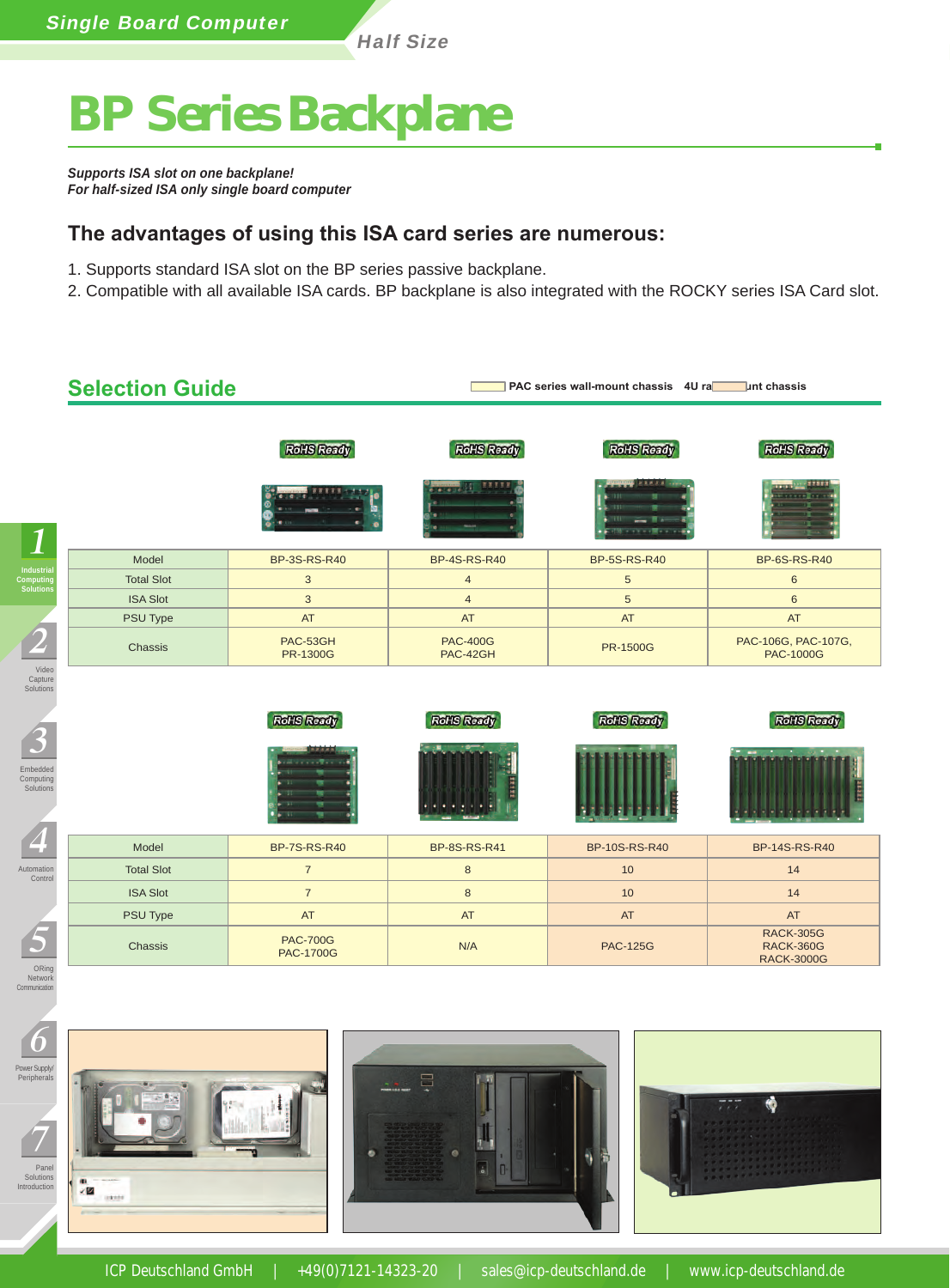Half Size

# **BP Series Backplane**

*Supports ISA slot on one backplane! For half-sized ISA only single board computer*

#### **The advantages of using this ISA card series are numerous:**

- 1. Supports standard ISA slot on the BP series passive backplane.
- 2. Compatible with all available ISA cards. BP backplane is also integrated with the ROCKY series ISA Card slot.

| <b>RoHS Ready</b>           | <b>RoHS Ready</b>           | <b>RoHS Ready</b><br><b>EXP.R.B</b> | <b>RoHS Ready</b><br>THE PERSON         |
|-----------------------------|-----------------------------|-------------------------------------|-----------------------------------------|
|                             |                             |                                     |                                         |
|                             |                             | .                                   |                                         |
| <b>BP-3S-RS-R40</b>         | <b>BP-4S-RS-R40</b>         | <b>BP-5S-RS-R40</b>                 | <b>BP-6S-RS-R40</b>                     |
| 3                           | $\overline{4}$              | $\sqrt{5}$                          | 6                                       |
| $\mathbf{3}$                | $\overline{4}$              | $\overline{5}$                      | 6                                       |
| AT                          | AT                          | AT                                  | <b>AT</b>                               |
| PAC-53GH<br><b>PR-1300G</b> | <b>PAC-400G</b><br>PAC-42GH | <b>PR-1500G</b>                     | PAC-106G, PAC-107G,<br><b>PAC-1000G</b> |
|                             |                             |                                     |                                         |
| <b>BP-7S-RS-R40</b>         | <b>BP-8S-RS-R41</b>         | <b>BP-10S-RS-R40</b>                | <b>BP-14S-RS-R40</b>                    |
| $\overline{7}$              | 8                           | 10                                  | 14                                      |
| $\overline{7}$              | 8                           | 10                                  | 14                                      |
| AT                          | AT                          | AT                                  | AT                                      |
|                             |                             |                                     | <b>RACK-305G</b>                        |
|                             | <b>RoHS Ready</b>           | <b>RoHS Ready</b>                   | <b>RoHS Ready</b>                       |



7





ICP Deutschland GmbH | +49(0)7121-14323-20 | sales@icp-deutschland.de | www.icp-deutschland.de